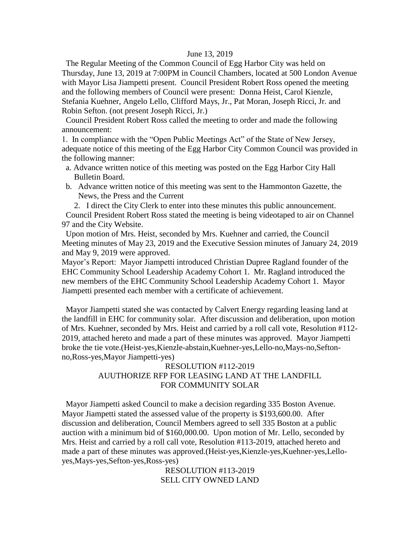### June 13, 2019

 The Regular Meeting of the Common Council of Egg Harbor City was held on Thursday, June 13, 2019 at 7:00PM in Council Chambers, located at 500 London Avenue with Mayor Lisa Jiampetti present. Council President Robert Ross opened the meeting and the following members of Council were present: Donna Heist, Carol Kienzle, Stefania Kuehner, Angelo Lello, Clifford Mays, Jr., Pat Moran, Joseph Ricci, Jr. and Robin Sefton. (not present Joseph Ricci, Jr.)

 Council President Robert Ross called the meeting to order and made the following announcement:

1. In compliance with the "Open Public Meetings Act" of the State of New Jersey, adequate notice of this meeting of the Egg Harbor City Common Council was provided in the following manner:

- a. Advance written notice of this meeting was posted on the Egg Harbor City Hall Bulletin Board.
- b. Advance written notice of this meeting was sent to the Hammonton Gazette, the News, the Press and the Current

2. I direct the City Clerk to enter into these minutes this public announcement. Council President Robert Ross stated the meeting is being videotaped to air on Channel 97 and the City Website.

 Upon motion of Mrs. Heist, seconded by Mrs. Kuehner and carried, the Council Meeting minutes of May 23, 2019 and the Executive Session minutes of January 24, 2019 and May 9, 2019 were approved.

Mayor's Report: Mayor Jiampetti introduced Christian Dupree Ragland founder of the EHC Community School Leadership Academy Cohort 1. Mr. Ragland introduced the new members of the EHC Community School Leadership Academy Cohort 1. Mayor Jiampetti presented each member with a certificate of achievement.

 Mayor Jiampetti stated she was contacted by Calvert Energy regarding leasing land at the landfill in EHC for community solar. After discussion and deliberation, upon motion of Mrs. Kuehner, seconded by Mrs. Heist and carried by a roll call vote, Resolution #112- 2019, attached hereto and made a part of these minutes was approved. Mayor Jiampetti broke the tie vote.(Heist-yes,Kienzle-abstain,Kuehner-yes,Lello-no,Mays-no,Seftonno,Ross-yes,Mayor Jiampetti-yes)

# RESOLUTION #112-2019 AUUTHORIZE RFP FOR LEASING LAND AT THE LANDFILL FOR COMMUNITY SOLAR

 Mayor Jiampetti asked Council to make a decision regarding 335 Boston Avenue. Mayor Jiampetti stated the assessed value of the property is \$193,600.00. After discussion and deliberation, Council Members agreed to sell 335 Boston at a public auction with a minimum bid of \$160,000.00. Upon motion of Mr. Lello, seconded by Mrs. Heist and carried by a roll call vote, Resolution #113-2019, attached hereto and made a part of these minutes was approved.(Heist-yes,Kienzle-yes,Kuehner-yes,Lelloyes,Mays-yes,Sefton-yes,Ross-yes)

> RESOLUTION #113-2019 SELL CITY OWNED LAND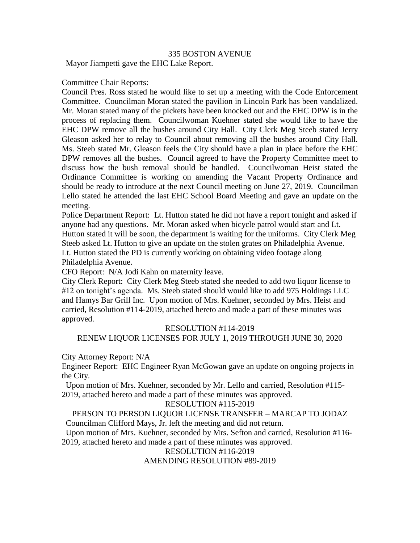## 335 BOSTON AVENUE

Mayor Jiampetti gave the EHC Lake Report.

### Committee Chair Reports:

Council Pres. Ross stated he would like to set up a meeting with the Code Enforcement Committee. Councilman Moran stated the pavilion in Lincoln Park has been vandalized. Mr. Moran stated many of the pickets have been knocked out and the EHC DPW is in the process of replacing them. Councilwoman Kuehner stated she would like to have the EHC DPW remove all the bushes around City Hall. City Clerk Meg Steeb stated Jerry Gleason asked her to relay to Council about removing all the bushes around City Hall. Ms. Steeb stated Mr. Gleason feels the City should have a plan in place before the EHC DPW removes all the bushes. Council agreed to have the Property Committee meet to discuss how the bush removal should be handled. Councilwoman Heist stated the Ordinance Committee is working on amending the Vacant Property Ordinance and should be ready to introduce at the next Council meeting on June 27, 2019. Councilman Lello stated he attended the last EHC School Board Meeting and gave an update on the meeting.

Police Department Report: Lt. Hutton stated he did not have a report tonight and asked if anyone had any questions. Mr. Moran asked when bicycle patrol would start and Lt. Hutton stated it will be soon, the department is waiting for the uniforms. City Clerk Meg Steeb asked Lt. Hutton to give an update on the stolen grates on Philadelphia Avenue. Lt. Hutton stated the PD is currently working on obtaining video footage along Philadelphia Avenue.

CFO Report: N/A Jodi Kahn on maternity leave.

City Clerk Report: City Clerk Meg Steeb stated she needed to add two liquor license to #12 on tonight's agenda. Ms. Steeb stated should would like to add 975 Holdings LLC and Hamys Bar Grill Inc. Upon motion of Mrs. Kuehner, seconded by Mrs. Heist and carried, Resolution #114-2019, attached hereto and made a part of these minutes was approved.

#### RESOLUTION #114-2019

RENEW LIQUOR LICENSES FOR JULY 1, 2019 THROUGH JUNE 30, 2020

City Attorney Report: N/A

Engineer Report: EHC Engineer Ryan McGowan gave an update on ongoing projects in the City.

 Upon motion of Mrs. Kuehner, seconded by Mr. Lello and carried, Resolution #115- 2019, attached hereto and made a part of these minutes was approved.

#### RESOLUTION #115-2019

PERSON TO PERSON LIQUOR LICENSE TRANSFER – MARCAP TO JODAZ Councilman Clifford Mays, Jr. left the meeting and did not return.

 Upon motion of Mrs. Kuehner, seconded by Mrs. Sefton and carried, Resolution #116- 2019, attached hereto and made a part of these minutes was approved.

> RESOLUTION #116-2019 AMENDING RESOLUTION #89-2019